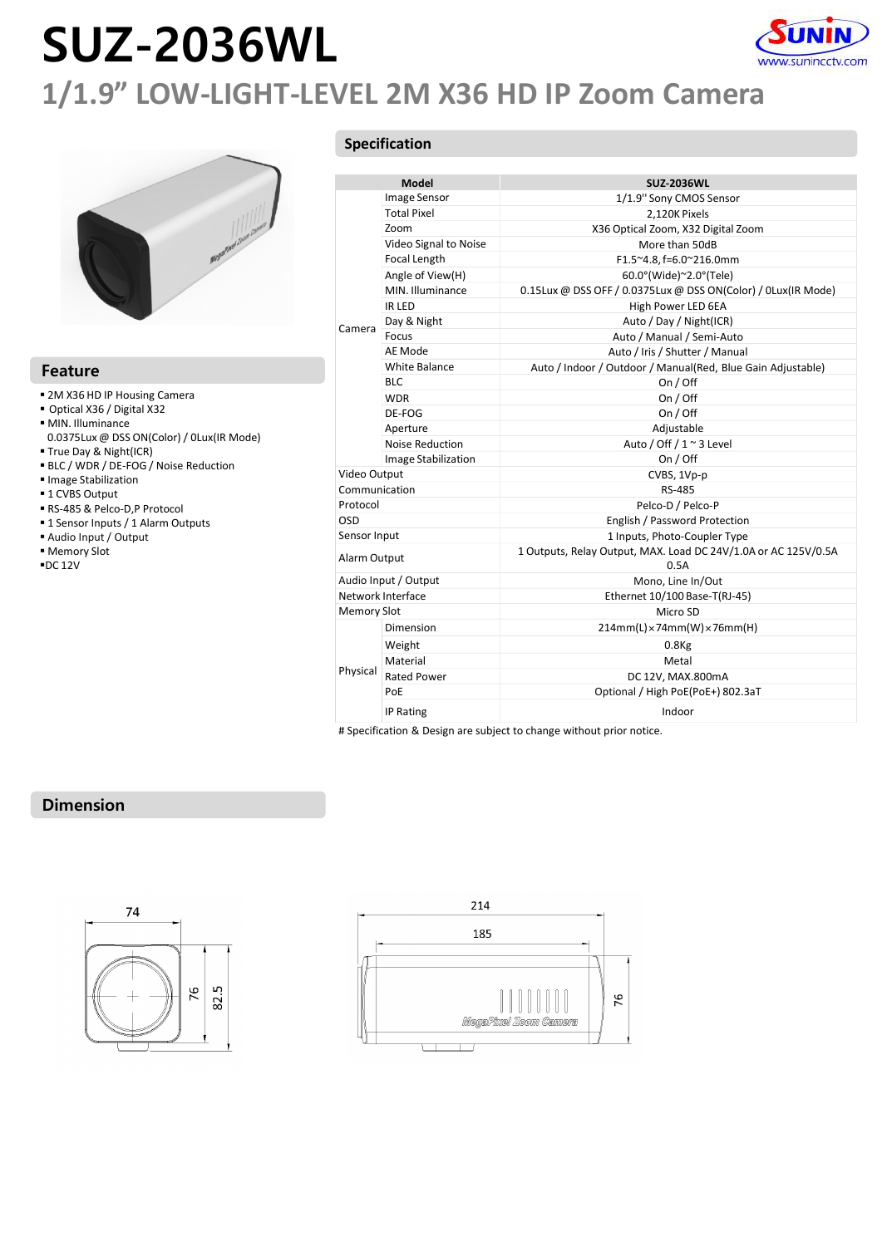# SUZ-2036WL



### 1/1.9" LOW-LIGHT-LEVEL 2M X36 HD IP Zoom Camera



#### Feature

- 
- Optical X36 / Digital X32
- 
- 0.0375Lux @ DSS ON(Color) / 0Lux(IR Mode) True Day & Night(ICR)
- 
- BLC / WDR / DE-FOG / Noise Reduction
- Image Stabilization  $\overline{a}$
- 1 CVBS Output<br>■ RS-485 & Pelco-D,P Protocol
- 
- 
- 
- 
- 

### Specification

|                                           |                    |                               | www.sunincctv.com<br>1/1.9" LOW-LIGHT-LEVEL 2M X36 HD IP Zoom Camera   |
|-------------------------------------------|--------------------|-------------------------------|------------------------------------------------------------------------|
|                                           |                    | Specification                 |                                                                        |
|                                           |                    |                               |                                                                        |
|                                           |                    | Model                         | <b>SUZ-2036WL</b>                                                      |
|                                           |                    | Image Sensor                  | 1/1.9" Sony CMOS Sensor                                                |
|                                           |                    | <b>Total Pixel</b>            | 2,120K Pixels                                                          |
|                                           |                    | Zoom<br>Video Signal to Noise | X36 Optical Zoom, X32 Digital Zoom<br>More than 50dB                   |
|                                           |                    | Focal Length                  | F1.5~4.8, f=6.0~216.0mm                                                |
|                                           |                    | Angle of View(H)              | 60.0°(Wide)~2.0°(Tele)                                                 |
|                                           |                    | MIN. Illuminance              | 0.15Lux @ DSS OFF / 0.0375Lux @ DSS ON(Color) / 0Lux(IR Mode)          |
|                                           |                    | IR LED                        | High Power LED 6EA                                                     |
|                                           |                    | Day & Night                   | Auto / Day / Night(ICR)                                                |
|                                           | Camera             | Focus                         | Auto / Manual / Semi-Auto                                              |
|                                           |                    | AE Mode                       | Auto / Iris / Shutter / Manual                                         |
|                                           |                    | White Balance                 | Auto / Indoor / Outdoor / Manual(Red, Blue Gain Adjustable)            |
| <b>Feature</b>                            |                    | <b>BLC</b>                    | On / Off                                                               |
| ■ 2M X36 HD IP Housing Camera             |                    | <b>WDR</b>                    | On / Off                                                               |
| Optical X36 / Digital X32                 |                    | DE-FOG                        | On / Off                                                               |
| MIN. Illuminance                          |                    | Aperture                      | Adjustable                                                             |
| 0.0375Lux @ DSS ON(Color) / 0Lux(IR Mode) |                    | Noise Reduction               | Auto / Off / 1 ~ 3 Level                                               |
| True Day & Night(ICR)                     |                    | Image Stabilization           | On / Off                                                               |
| BLC / WDR / DE-FOG / Noise Reduction      | Video Output       |                               | CVBS, 1Vp-p                                                            |
| Image Stabilization<br>■ 1 CVBS Output    | Communication      |                               | RS-485                                                                 |
| RS-485 & Pelco-D,P Protocol               | Protocol           |                               | Pelco-D / Pelco-P                                                      |
| " 1 Sensor Inputs / 1 Alarm Outputs       | OSD                |                               | English / Password Protection                                          |
| Audio Input / Output                      | Sensor Input       |                               | 1 Inputs, Photo-Coupler Type                                           |
| Memory Slot<br>$\blacksquare$ DC 12V      | Alarm Output       |                               | 1 Outputs, Relay Output, MAX. Load DC 24V/1.0A or AC 125V/0.5A<br>0.5A |
|                                           |                    | Audio Input / Output          | Mono, Line In/Out                                                      |
|                                           |                    | Network Interface             | Ethernet 10/100 Base-T(RJ-45)                                          |
|                                           | <b>Memory Slot</b> |                               | Micro SD                                                               |
|                                           |                    | Dimension                     | $214mm(L)\times74mm(W)\times76mm(H)$                                   |
|                                           |                    | Weight                        | $0.8$ Kg                                                               |
|                                           |                    | Material                      | Metal                                                                  |
|                                           | Physical           | <b>Rated Power</b>            | DC 12V, MAX.800mA                                                      |
|                                           |                    | PoE                           | Optional / High PoE(PoE+) 802.3aT                                      |
|                                           |                    | IP Rating                     | Indoor                                                                 |
|                                           |                    |                               |                                                                        |

### Dimension



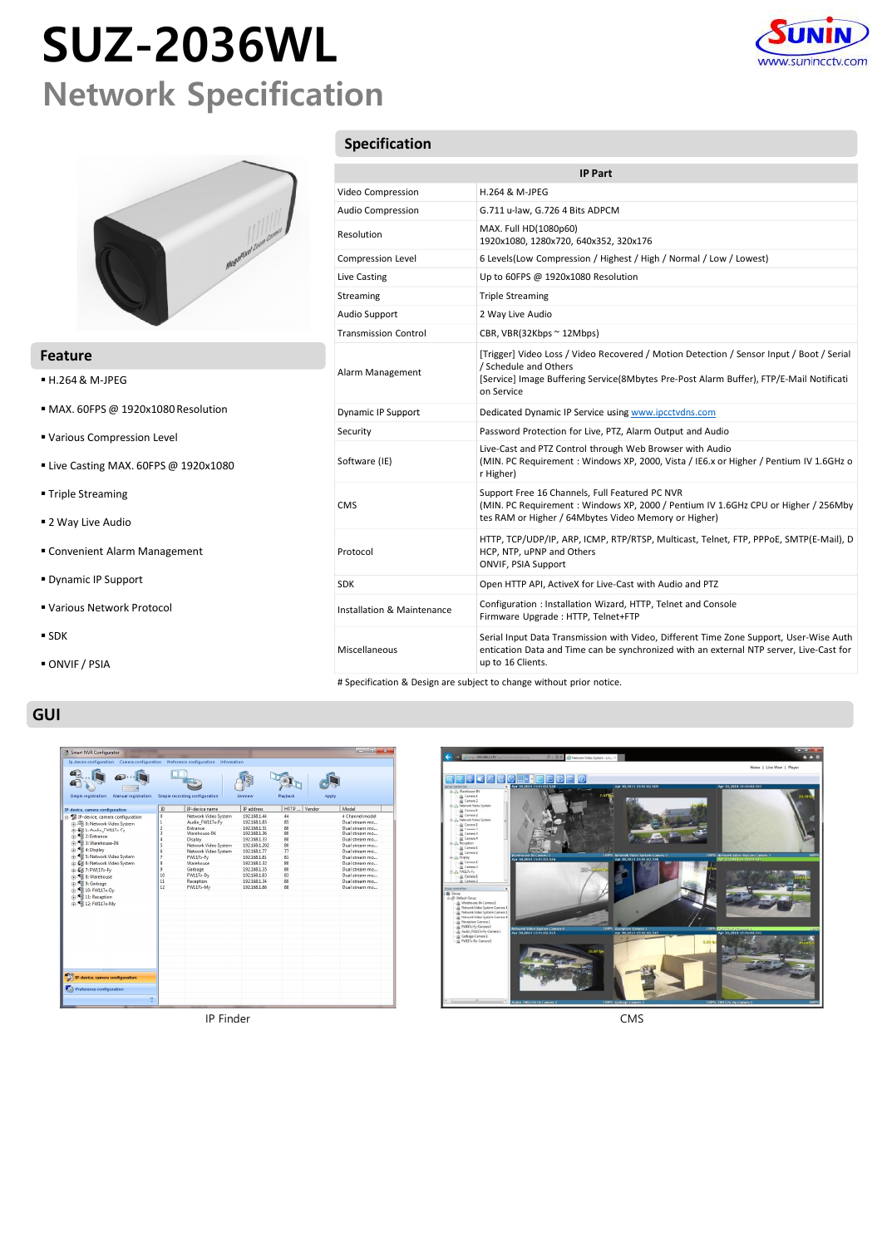## SUZ-2036WL Network Specification





### Feature

- H.264 & M-JPEG
- MAX. 60FPS @ 1920x1080 Resolution
- Various Compression Level
- Live Casting MAX. 60FPS @ 1920x1080
- **Triple Streaming**
- 2 Way Live Audio
- Convenient Alarm Management
- Dynamic IP Support
- Various Network Protocol
- $\blacksquare$  SDK
- ONVIF / PSIA

### GUI

| Smart NVR Configurator                                                                                                                                                                                                                                                                                                        |                                                                                            |                                                                                                                                                                                                                |                                                                                                                                                                                                               |                                                                                                | $\Box$<br>×                                                                                                                                                                                                                                                         |
|-------------------------------------------------------------------------------------------------------------------------------------------------------------------------------------------------------------------------------------------------------------------------------------------------------------------------------|--------------------------------------------------------------------------------------------|----------------------------------------------------------------------------------------------------------------------------------------------------------------------------------------------------------------|---------------------------------------------------------------------------------------------------------------------------------------------------------------------------------------------------------------|------------------------------------------------------------------------------------------------|---------------------------------------------------------------------------------------------------------------------------------------------------------------------------------------------------------------------------------------------------------------------|
| Ip-device configuration Camera configuration Preference configuration                                                                                                                                                                                                                                                         |                                                                                            | Information                                                                                                                                                                                                    |                                                                                                                                                                                                               |                                                                                                |                                                                                                                                                                                                                                                                     |
| Simple registration<br>Manual registration                                                                                                                                                                                                                                                                                    |                                                                                            | Simple recording configuration                                                                                                                                                                                 | Liveview                                                                                                                                                                                                      | Playback                                                                                       | Apply                                                                                                                                                                                                                                                               |
| IP-device, camera configuration                                                                                                                                                                                                                                                                                               | ID                                                                                         | IP-device name                                                                                                                                                                                                 | IP address                                                                                                                                                                                                    | HTTP_                                                                                          | Vendor<br>Model                                                                                                                                                                                                                                                     |
| P-device, camera configuration<br>中国 0: Network Video System<br>PW117x Fy<br><sup>2</sup> Entrance<br>+ St 3: Warehouse-IN<br>+ 4 0isplay<br>in  S: Network Video System<br>E Cil 6: Network Video System<br>in @ 7: FW117x-Fy<br># 8: Warehouse<br>+ Sarbage<br>+ 4 10: FW117x-Dv<br>+ St 11: Reception<br>+ 4 12: FW117x-Mv | $\overline{0}$<br>ī<br>$\overline{c}$<br>3<br>4<br>5<br>6<br>7<br>g<br>Q<br>10<br>11<br>12 | Network Video System<br>Audio FW117x-Fv<br>Entrance<br>Warehouse-IN<br>Display<br>Network Video System<br>Network Video System<br>FW117x-Fy<br>Warehouse<br>Garbage<br>$FW117x - Dy$<br>Reception<br>FW117x-Mv | 192.168.1.44<br>192.168.1.85<br>192.168.1.31<br>192.168.1.36<br>192.168.1.33<br>192.168.1.202<br>192.168.1.77<br>192.168.1.81<br>192.168.1.32<br>192.168.1.35<br>192.168.1.83<br>192.168.1.34<br>192.168.1.88 | 44<br>85<br>80<br>80<br>80<br>80<br>77<br>81<br>80<br>80<br>83<br>80 <sub>0</sub><br><b>RR</b> | 4 Channel model<br>Dual stream mo<br>Dual stream mo<br>Dual stream mo<br>Dual stream mo<br>Dual stream mo<br><b>Dual stream mn</b><br><b>Dual stream mn</b><br>Dual stream mo<br>Dual stream mo<br>Dual stream mo<br><b>Dual stream mn</b><br><b>Dual stream mn</b> |
| ,,,,,,,,<br>関<br>IP-device, camera configuration                                                                                                                                                                                                                                                                              |                                                                                            |                                                                                                                                                                                                                |                                                                                                                                                                                                               |                                                                                                |                                                                                                                                                                                                                                                                     |
| <b>2.3 Preference configuration</b><br>$\overline{\mathbf{5}}$                                                                                                                                                                                                                                                                |                                                                                            |                                                                                                                                                                                                                |                                                                                                                                                                                                               |                                                                                                |                                                                                                                                                                                                                                                                     |

### Specification

|                             | www.sunincctv.com                                                                                                                                                                                                          |
|-----------------------------|----------------------------------------------------------------------------------------------------------------------------------------------------------------------------------------------------------------------------|
|                             |                                                                                                                                                                                                                            |
|                             |                                                                                                                                                                                                                            |
| Specification               |                                                                                                                                                                                                                            |
|                             |                                                                                                                                                                                                                            |
|                             | <b>IP Part</b>                                                                                                                                                                                                             |
| Video Compression           | H.264 & M-JPEG                                                                                                                                                                                                             |
| Audio Compression           | G.711 u-law, G.726 4 Bits ADPCM                                                                                                                                                                                            |
| Resolution                  | MAX. Full HD(1080p60)<br>1920x1080, 1280x720, 640x352, 320x176                                                                                                                                                             |
| Compression Level           | 6 Levels(Low Compression / Highest / High / Normal / Low / Lowest)                                                                                                                                                         |
| Live Casting                | Up to 60FPS @ 1920x1080 Resolution                                                                                                                                                                                         |
| Streaming                   | <b>Triple Streaming</b>                                                                                                                                                                                                    |
| Audio Support               | 2 Way Live Audio                                                                                                                                                                                                           |
| <b>Transmission Control</b> | CBR, VBR(32Kbps ~ 12Mbps)                                                                                                                                                                                                  |
| Alarm Management            | [Trigger] Video Loss / Video Recovered / Motion Detection / Sensor Input / Boot / Serial<br>/ Schedule and Others<br>[Service] Image Buffering Service(8Mbytes Pre-Post Alarm Buffer), FTP/E-Mail Notificati<br>on Service |
| <b>Dynamic IP Support</b>   | Dedicated Dynamic IP Service using www.ipcctvdns.com                                                                                                                                                                       |
| Security                    | Password Protection for Live, PTZ, Alarm Output and Audio                                                                                                                                                                  |
| Software (IE)               | Live-Cast and PTZ Control through Web Browser with Audio<br>(MIN. PC Requirement: Windows XP, 2000, Vista / IE6.x or Higher / Pentium IV 1.6GHz o<br>r Higher)                                                             |
| CMS                         | Support Free 16 Channels, Full Featured PC NVR<br>(MIN. PC Requirement: Windows XP, 2000 / Pentium IV 1.6GHz CPU or Higher / 256Mby<br>tes RAM or Higher / 64Mbytes Video Memory or Higher)                                |
| Protocol                    | HTTP, TCP/UDP/IP, ARP, ICMP, RTP/RTSP, Multicast, Telnet, FTP, PPPoE, SMTP(E-Mail), D<br>HCP, NTP, uPNP and Others<br>ONVIF, PSIA Support                                                                                  |
| <b>SDK</b>                  | Open HTTP API, ActiveX for Live-Cast with Audio and PTZ                                                                                                                                                                    |
| Installation & Maintenance  | Configuration: Installation Wizard, HTTP, Telnet and Console<br>Firmware Upgrade : HTTP, Telnet+FTP                                                                                                                        |
| Miscellaneous               | Serial Input Data Transmission with Video, Different Time Zone Support, User-Wise Auth<br>entication Data and Time can be synchronized with an external NTP server, Live-Cast for<br>up to 16 Clients.                     |
|                             | # Specification & Design are subject to change without prior notice.                                                                                                                                                       |

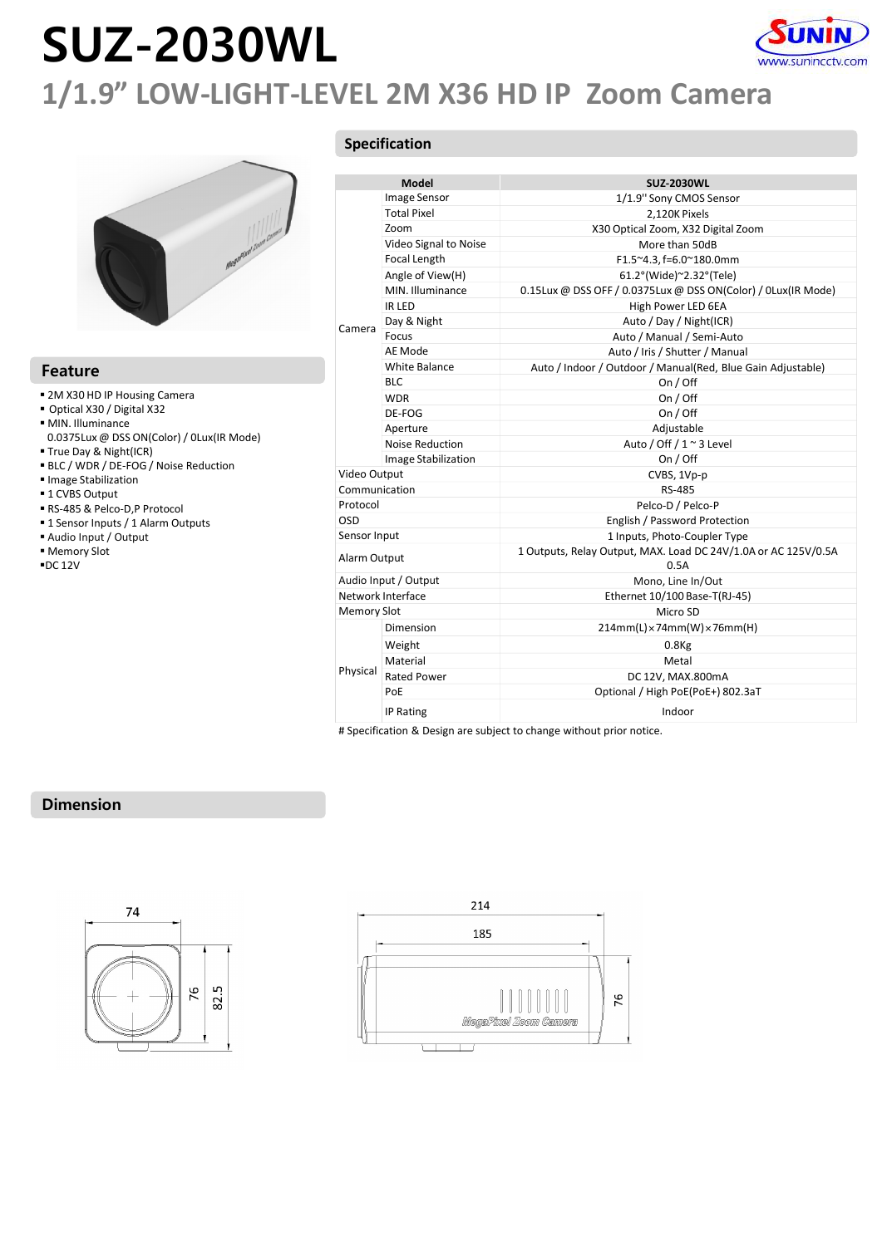# SUZ-2030WL



### 1/1.9" LOW-LIGHT-LEVEL 2M X36 HD IP Zoom Camera



### Feature

- 
- Optical X30 / Digital X32
- 
- 0.0375Lux @ DSS ON(Color) / 0Lux(IR Mode)
- True Day & Night(ICR)
- BLC / WDR / DE-FOG / Noise Reduction
- Image Stabilization  $\overline{C}$
- 1 CVBS Output<br>■ RS-485 & Pelco-D,P Protocol
- 
- 
- 
- 

### Specification

|                                                |                    |                       | www.sunincctv.com<br>1/1.9" LOW-LIGHT-LEVEL 2M X36 HD IP Zoom Camera |
|------------------------------------------------|--------------------|-----------------------|----------------------------------------------------------------------|
|                                                |                    | Specification         |                                                                      |
|                                                |                    |                       |                                                                      |
|                                                |                    | Model<br>Image Sensor | <b>SUZ-2030WL</b>                                                    |
|                                                |                    | <b>Total Pixel</b>    | 1/1.9" Sony CMOS Sensor<br>2,120K Pixels                             |
|                                                |                    | Zoom                  | X30 Optical Zoom, X32 Digital Zoom                                   |
|                                                |                    | Video Signal to Noise | More than 50dB                                                       |
|                                                |                    | Focal Length          | F1.5~4.3, f=6.0~180.0mm                                              |
|                                                |                    | Angle of View(H)      | 61.2°(Wide)~2.32°(Tele)                                              |
|                                                |                    | MIN. Illuminance      | 0.15Lux @ DSS OFF / 0.0375Lux @ DSS ON(Color) / 0Lux(IR Mode)        |
|                                                |                    | IR LED                | High Power LED 6EA                                                   |
|                                                |                    | Day & Night           | Auto / Day / Night(ICR)                                              |
|                                                | Camera             | Focus                 | Auto / Manual / Semi-Auto                                            |
|                                                |                    | AE Mode               | Auto / Iris / Shutter / Manual                                       |
|                                                |                    | White Balance         | Auto / Indoor / Outdoor / Manual(Red, Blue Gain Adjustable)          |
| <b>Feature</b>                                 |                    | <b>BLC</b>            | On / Off                                                             |
| ■ 2M X30 HD IP Housing Camera                  |                    | <b>WDR</b>            | On / Off                                                             |
| Optical X30 / Digital X32                      |                    | DE-FOG                | On / Off                                                             |
| MIN. Illuminance                               |                    | Aperture              | Adjustable                                                           |
| 0.0375Lux @ DSS ON(Color) / 0Lux(IR Mode)      |                    | Noise Reduction       | Auto / Off / 1 ~ 3 Level                                             |
| True Day & Night(ICR)                          |                    | Image Stabilization   | On / Off                                                             |
| BLC / WDR / DE-FOG / Noise Reduction           | Video Output       |                       | CVBS, 1Vp-p                                                          |
| Image Stabilization                            | Communication      |                       | RS-485                                                               |
| ■ 1 CVBS Output<br>RS-485 & Pelco-D,P Protocol | Protocol           |                       | Pelco-D / Pelco-P                                                    |
| ■ 1 Sensor Inputs / 1 Alarm Outputs            | OSD                |                       | English / Password Protection                                        |
| Audio Input / Output                           | Sensor Input       |                       | 1 Inputs, Photo-Coupler Type                                         |
| Memory Slot                                    |                    |                       | 1 Outputs, Relay Output, MAX. Load DC 24V/1.0A or AC 125V/0.5A       |
| $\blacksquare$ DC 12V                          | Alarm Output       |                       | 0.5A                                                                 |
|                                                |                    | Audio Input / Output  | Mono, Line In/Out                                                    |
|                                                |                    | Network Interface     | Ethernet 10/100 Base-T(RJ-45)                                        |
|                                                | <b>Memory Slot</b> |                       | Micro SD                                                             |
|                                                |                    | Dimension             | $214mm(L)\times74mm(W)\times76mm(H)$                                 |
|                                                |                    | Weight                | $0.8$ Kg                                                             |
|                                                |                    | Material              | Metal                                                                |
|                                                | Physical           | <b>Rated Power</b>    | DC 12V, MAX.800mA                                                    |
|                                                |                    | PoE                   | Optional / High PoE(PoE+) 802.3aT                                    |
|                                                |                    |                       |                                                                      |
|                                                |                    | IP Rating             |                                                                      |
|                                                |                    |                       | Indoor                                                               |

### Dimension



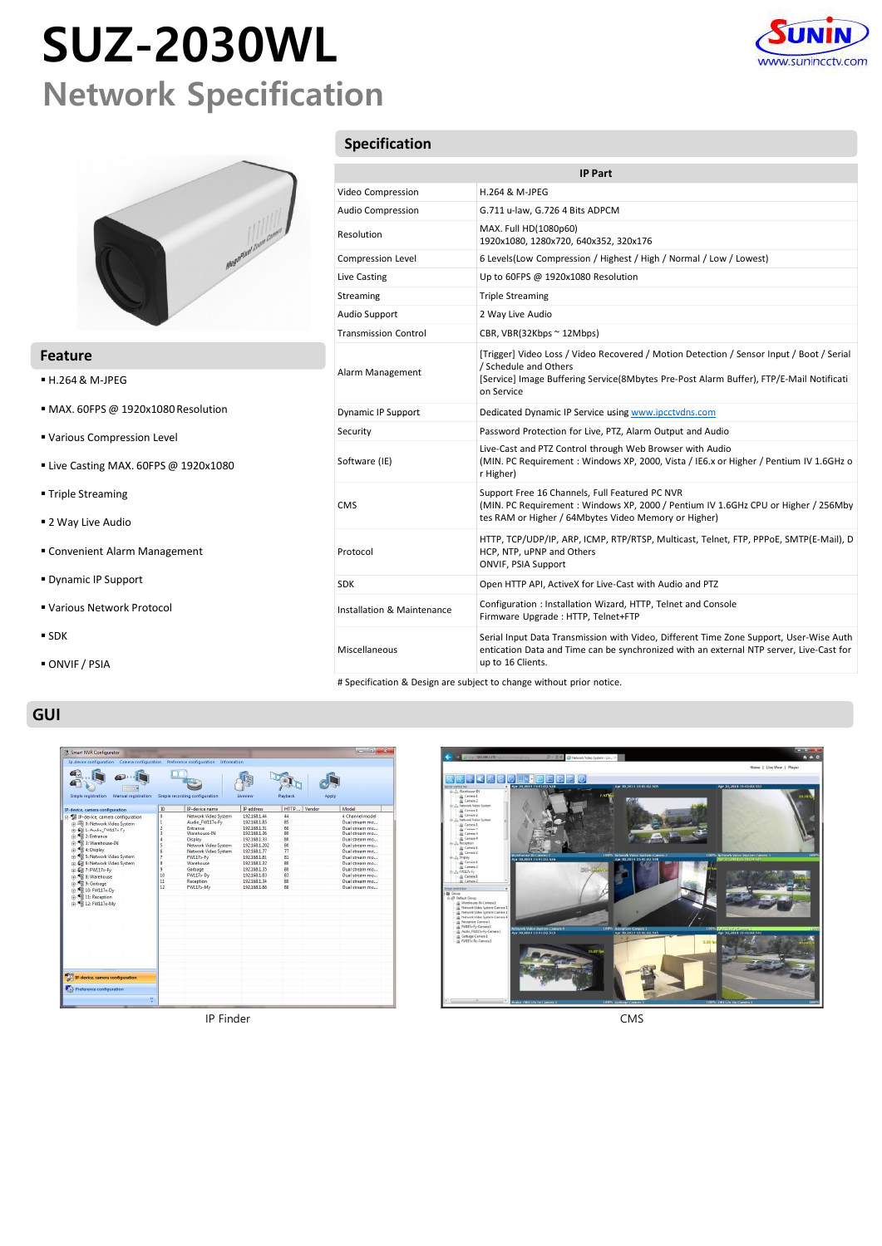## SUZ-2030WL Network Specification





### Feature

- H.264 & M-JPEG
- MAX. 60FPS @ 1920x1080 Resolution
- Various Compression Level
- Live Casting MAX. 60FPS @ 1920x1080
- **Triple Streaming**
- 2 Way Live Audio
- Convenient Alarm Management
- Dynamic IP Support
- Various Network Protocol
- $\blacksquare$  SDK
- ONVIF / PSIA

### GUI

|                                                                                                                                                                               |                                                                                                                                                                                                                   |                                                                                                                                                                                                               |                                                                                                | $\Box$ $\Box$<br>×                                                                                                                                                                                                                                           |
|-------------------------------------------------------------------------------------------------------------------------------------------------------------------------------|-------------------------------------------------------------------------------------------------------------------------------------------------------------------------------------------------------------------|---------------------------------------------------------------------------------------------------------------------------------------------------------------------------------------------------------------|------------------------------------------------------------------------------------------------|--------------------------------------------------------------------------------------------------------------------------------------------------------------------------------------------------------------------------------------------------------------|
| Ip-device configuration Camera configuration                                                                                                                                  |                                                                                                                                                                                                                   |                                                                                                                                                                                                               |                                                                                                |                                                                                                                                                                                                                                                              |
|                                                                                                                                                                               |                                                                                                                                                                                                                   | Liveview                                                                                                                                                                                                      | Playback                                                                                       | Apply                                                                                                                                                                                                                                                        |
| ID                                                                                                                                                                            | IP-device name                                                                                                                                                                                                    | IP address                                                                                                                                                                                                    | HTTP_<br>Vendor                                                                                | Model                                                                                                                                                                                                                                                        |
| $\overline{0}$<br>1<br>$\overline{c}$<br>$\overline{\mathbf{3}}$<br>$\overline{4}$<br>s<br>6<br>$\overline{7}$<br>$\overline{\mathbf{g}}$<br>$\overline{Q}$<br>10<br>11<br>12 | Network Video System<br>Audio FW117x-Fv<br>Entrance<br>Warehouse-IN<br>Display<br>Network Video System<br>Network Video System<br>FW117x-Fy<br>Warehouse<br>Garbage<br><b>FW117x-Dv</b><br>Reception<br>FW117x-Mv | 192.168.1.44<br>192.168.1.85<br>192.168.1.31<br>192.168.1.36<br>192.168.1.33<br>192.168.1.202<br>192.168.1.77<br>192.168.1.81<br>192.168.1.32<br>192.168.1.35<br>192.168.1.83<br>192.168.1.34<br>192.168.1.88 | 44<br>85<br>80<br>80<br>80<br>80<br>77<br>81<br>80<br>80<br>83<br>80 <sub>0</sub><br><b>RR</b> | 4 Channel model<br>Dual stream mo<br>Dual stream mo<br>Dual stream mo<br>Dual stream mo<br>Dual stream mo<br>Dual stream mo<br><b>Dual stream mn</b><br>Dual stream mo<br>Dual stream mo<br>Dual stream mo<br><b>Dual stream mn</b><br><b>Dual stream mn</b> |
|                                                                                                                                                                               |                                                                                                                                                                                                                   |                                                                                                                                                                                                               |                                                                                                |                                                                                                                                                                                                                                                              |
| $\mathbf{y}$                                                                                                                                                                  |                                                                                                                                                                                                                   |                                                                                                                                                                                                               |                                                                                                |                                                                                                                                                                                                                                                              |
|                                                                                                                                                                               |                                                                                                                                                                                                                   | Preference configuration<br>Simple recording configuration                                                                                                                                                    | Information                                                                                    |                                                                                                                                                                                                                                                              |

### Specification

|                             | www.sunincctv.com                                                                                                                                                                                                          |
|-----------------------------|----------------------------------------------------------------------------------------------------------------------------------------------------------------------------------------------------------------------------|
|                             |                                                                                                                                                                                                                            |
|                             |                                                                                                                                                                                                                            |
| Specification               |                                                                                                                                                                                                                            |
|                             |                                                                                                                                                                                                                            |
|                             | <b>IP Part</b>                                                                                                                                                                                                             |
| Video Compression           | H.264 & M-JPEG                                                                                                                                                                                                             |
| Audio Compression           | G.711 u-law, G.726 4 Bits ADPCM<br>MAX. Full HD(1080p60)                                                                                                                                                                   |
| Resolution                  | 1920x1080, 1280x720, 640x352, 320x176                                                                                                                                                                                      |
| Compression Level           | 6 Levels(Low Compression / Highest / High / Normal / Low / Lowest)                                                                                                                                                         |
| Live Casting                | Up to 60FPS @ 1920x1080 Resolution                                                                                                                                                                                         |
| Streaming                   | <b>Triple Streaming</b>                                                                                                                                                                                                    |
| Audio Support               | 2 Way Live Audio                                                                                                                                                                                                           |
| <b>Transmission Control</b> | CBR, VBR(32Kbps ~ 12Mbps)                                                                                                                                                                                                  |
| Alarm Management            | [Trigger] Video Loss / Video Recovered / Motion Detection / Sensor Input / Boot / Serial<br>/ Schedule and Others<br>[Service] Image Buffering Service(8Mbytes Pre-Post Alarm Buffer), FTP/E-Mail Notificati<br>on Service |
| <b>Dynamic IP Support</b>   | Dedicated Dynamic IP Service using www.ipcctvdns.com                                                                                                                                                                       |
| Security                    | Password Protection for Live, PTZ, Alarm Output and Audio                                                                                                                                                                  |
| Software (IE)               | Live-Cast and PTZ Control through Web Browser with Audio<br>(MIN. PC Requirement: Windows XP, 2000, Vista / IE6.x or Higher / Pentium IV 1.6GHz o<br>r Higher)                                                             |
| CMS                         | Support Free 16 Channels, Full Featured PC NVR<br>(MIN. PC Requirement: Windows XP, 2000 / Pentium IV 1.6GHz CPU or Higher / 256Mby<br>tes RAM or Higher / 64Mbytes Video Memory or Higher)                                |
| Protocol                    | HTTP, TCP/UDP/IP, ARP, ICMP, RTP/RTSP, Multicast, Telnet, FTP, PPPoE, SMTP(E-Mail), D<br>HCP, NTP, uPNP and Others<br>ONVIF, PSIA Support                                                                                  |
| <b>SDK</b>                  | Open HTTP API, ActiveX for Live-Cast with Audio and PTZ                                                                                                                                                                    |
| Installation & Maintenance  | Configuration: Installation Wizard, HTTP, Telnet and Console<br>Firmware Upgrade : HTTP, Telnet+FTP                                                                                                                        |
| Miscellaneous               | Serial Input Data Transmission with Video, Different Time Zone Support, User-Wise Auth<br>entication Data and Time can be synchronized with an external NTP server, Live-Cast for<br>up to 16 Clients.                     |
|                             | # Specification & Design are subject to change without prior notice.                                                                                                                                                       |

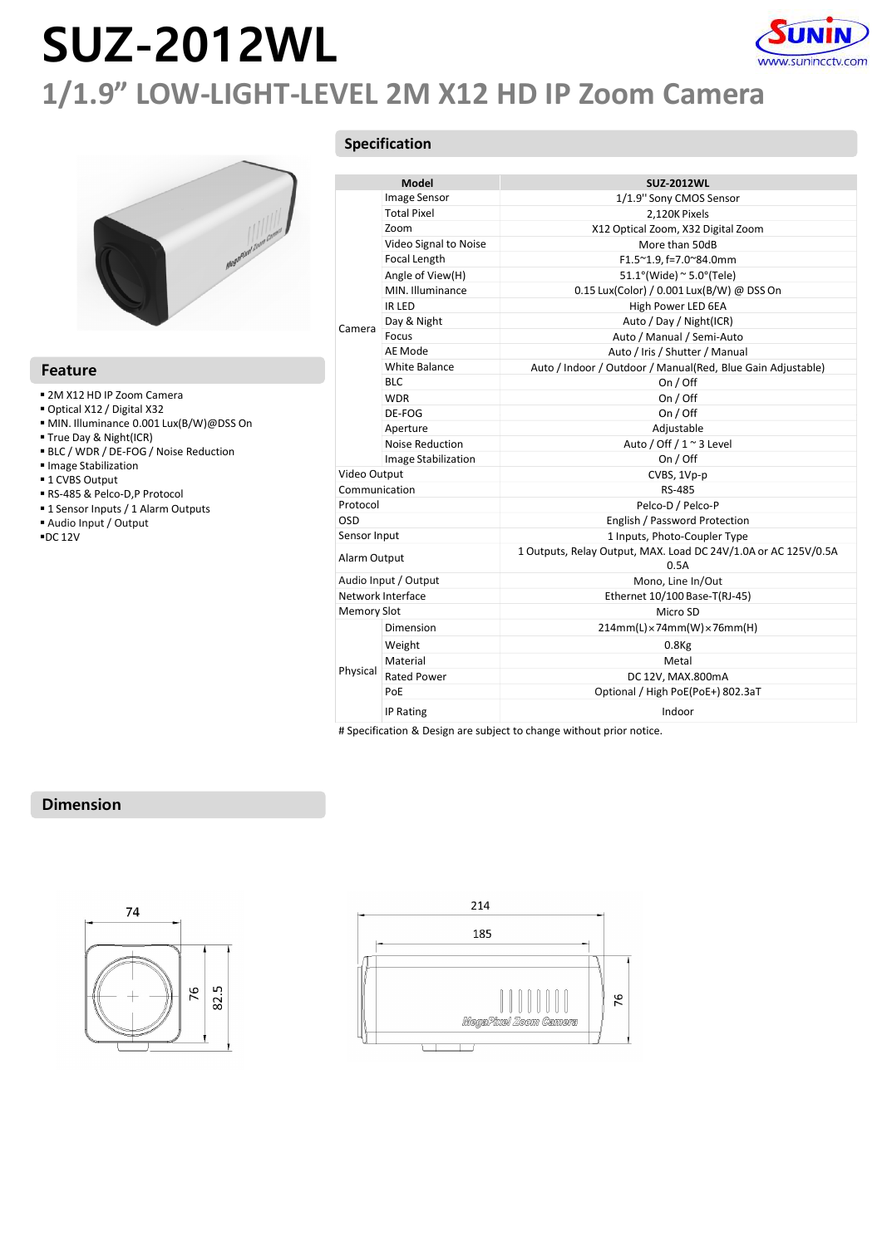# SUZ-2012WL



### 1/1.9" LOW-LIGHT-LEVEL 2M X12 HD IP Zoom Camera



#### Feature

- 
- Optical X12 / Digital X32
- $-MIN.$  Illuminance 0.001 Lux(B/W)@DSS On
- True Day & Night(ICR)
- BLC / WDR / DE-FOG / Noise Reduction
- $\blacksquare$ Image Stabilization
- 
- 1 CVBS Output<br>■ RS-485 & Pelco-D,P Protocol
- 
- 
- 

### Specification

|                                                             |                    |                            | www.sunincctv.com<br>1/1.9" LOW-LIGHT-LEVEL 2M X12 HD IP Zoom Camera   |
|-------------------------------------------------------------|--------------------|----------------------------|------------------------------------------------------------------------|
|                                                             |                    | Specification              |                                                                        |
|                                                             |                    |                            |                                                                        |
|                                                             |                    | Model                      | <b>SUZ-2012WL</b>                                                      |
|                                                             |                    | Image Sensor               | 1/1.9" Sony CMOS Sensor                                                |
|                                                             |                    | <b>Total Pixel</b><br>Zoom | 2,120K Pixels                                                          |
|                                                             |                    | Video Signal to Noise      | X12 Optical Zoom, X32 Digital Zoom<br>More than 50dB                   |
|                                                             |                    | Focal Length               | F1.5~1.9, f=7.0~84.0mm                                                 |
|                                                             |                    | Angle of View(H)           | $51.1^{\circ}$ (Wide) ~ 5.0°(Tele)                                     |
|                                                             |                    | MIN. Illuminance           | 0.15 Lux(Color) / 0.001 Lux(B/W) @ DSS On                              |
|                                                             |                    | IR LED                     | High Power LED 6EA                                                     |
|                                                             |                    | Day & Night                | Auto / Day / Night(ICR)                                                |
|                                                             | Camera             | Focus                      | Auto / Manual / Semi-Auto                                              |
|                                                             |                    | AE Mode                    | Auto / Iris / Shutter / Manual                                         |
| <b>Feature</b>                                              |                    | White Balance              | Auto / Indoor / Outdoor / Manual(Red, Blue Gain Adjustable)            |
|                                                             |                    | <b>BLC</b>                 | On / Off                                                               |
| 2M X12 HD IP Zoom Camera                                    |                    | <b>WDR</b>                 | On / Off                                                               |
| Optical X12 / Digital X32                                   |                    | DE-FOG                     | On / Off                                                               |
| MIN. Illuminance 0.001 Lux(B/W)@DSS On                      |                    | Aperture                   | Adjustable                                                             |
| True Day & Night(ICR)                                       |                    | Noise Reduction            | Auto / Off / 1 ~ 3 Level                                               |
| BLC / WDR / DE-FOG / Noise Reduction<br>Image Stabilization |                    | Image Stabilization        | On / Off                                                               |
| ■ 1 CVBS Output                                             | Video Output       |                            | CVBS, 1Vp-p                                                            |
| RS-485 & Pelco-D,P Protocol                                 | Communication      |                            | RS-485                                                                 |
| " 1 Sensor Inputs / 1 Alarm Outputs                         | Protocol           |                            | Pelco-D / Pelco-P                                                      |
| Audio Input / Output                                        | OSD                |                            | English / Password Protection                                          |
| ■DC 12V                                                     | Sensor Input       |                            | 1 Inputs, Photo-Coupler Type                                           |
|                                                             | Alarm Output       |                            | 1 Outputs, Relay Output, MAX. Load DC 24V/1.0A or AC 125V/0.5A<br>0.5A |
|                                                             |                    | Audio Input / Output       | Mono, Line In/Out                                                      |
|                                                             |                    | Network Interface          | Ethernet 10/100 Base-T(RJ-45)                                          |
|                                                             | <b>Memory Slot</b> |                            | Micro SD                                                               |
|                                                             |                    | Dimension                  | $214mm(L) \times 74mm(W) \times 76mm(H)$                               |
|                                                             |                    | Weight                     | $0.8$ Kg                                                               |
|                                                             |                    | Material                   | Metal                                                                  |
|                                                             | Physical           | <b>Rated Power</b>         | DC 12V, MAX.800mA                                                      |
|                                                             |                    | PoE                        | Optional / High PoE(PoE+) 802.3aT                                      |
|                                                             |                    |                            |                                                                        |
|                                                             |                    | IP Rating                  | Indoor                                                                 |

### Dimension